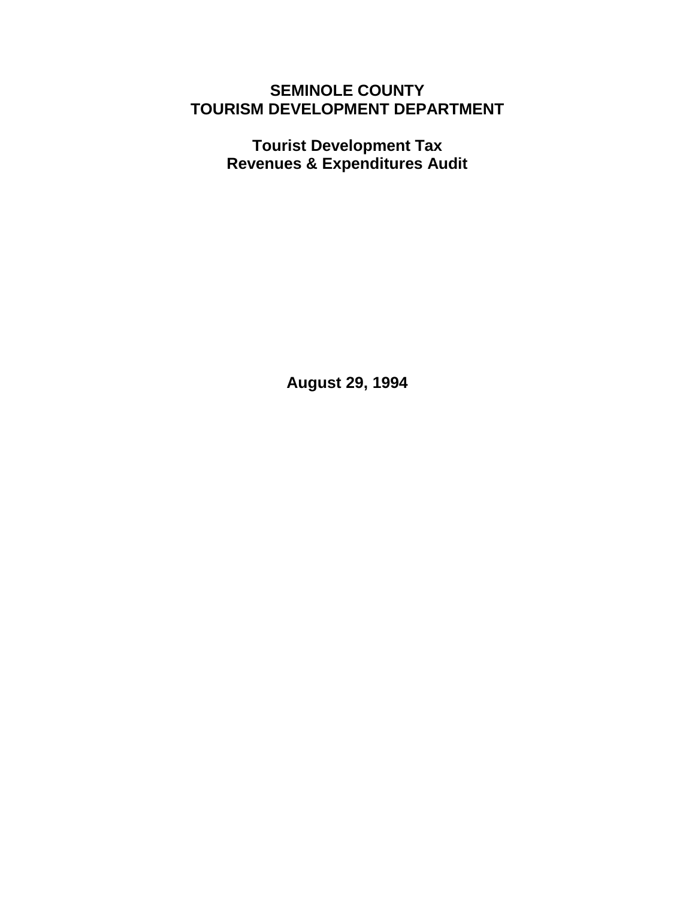# **SEMINOLE COUNTY TOURISM DEVELOPMENT DEPARTMENT**

**Tourist Development Tax Revenues & Expenditures Audit** 

**August 29, 1994**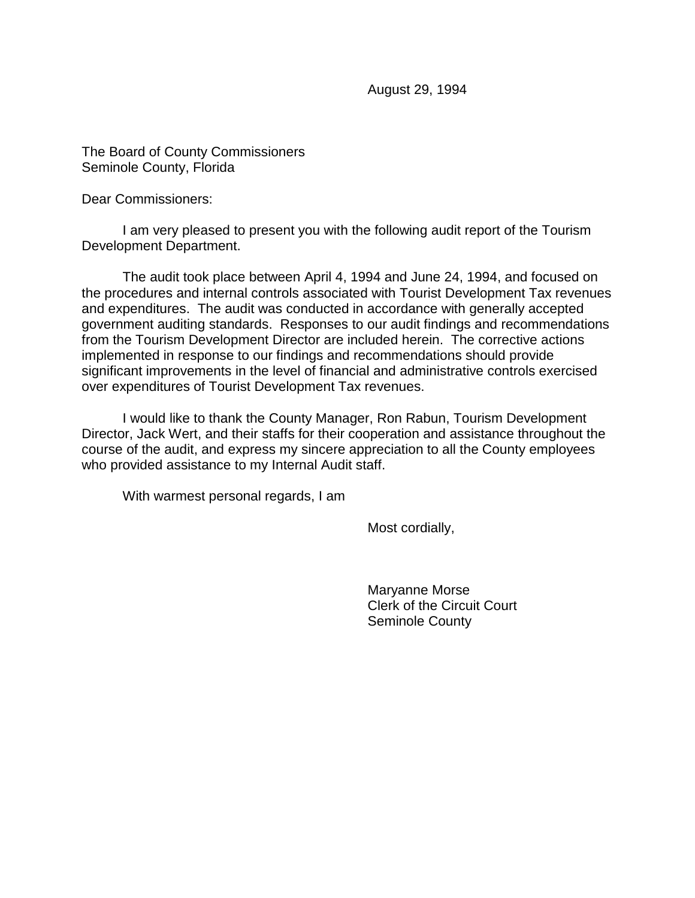August 29, 1994

The Board of County Commissioners Seminole County, Florida

Dear Commissioners:

 I am very pleased to present you with the following audit report of the Tourism Development Department.

 The audit took place between April 4, 1994 and June 24, 1994, and focused on the procedures and internal controls associated with Tourist Development Tax revenues and expenditures. The audit was conducted in accordance with generally accepted government auditing standards. Responses to our audit findings and recommendations from the Tourism Development Director are included herein. The corrective actions implemented in response to our findings and recommendations should provide significant improvements in the level of financial and administrative controls exercised over expenditures of Tourist Development Tax revenues.

 I would like to thank the County Manager, Ron Rabun, Tourism Development Director, Jack Wert, and their staffs for their cooperation and assistance throughout the course of the audit, and express my sincere appreciation to all the County employees who provided assistance to my Internal Audit staff.

With warmest personal regards, I am

Most cordially,

 Maryanne Morse Clerk of the Circuit Court Seminole County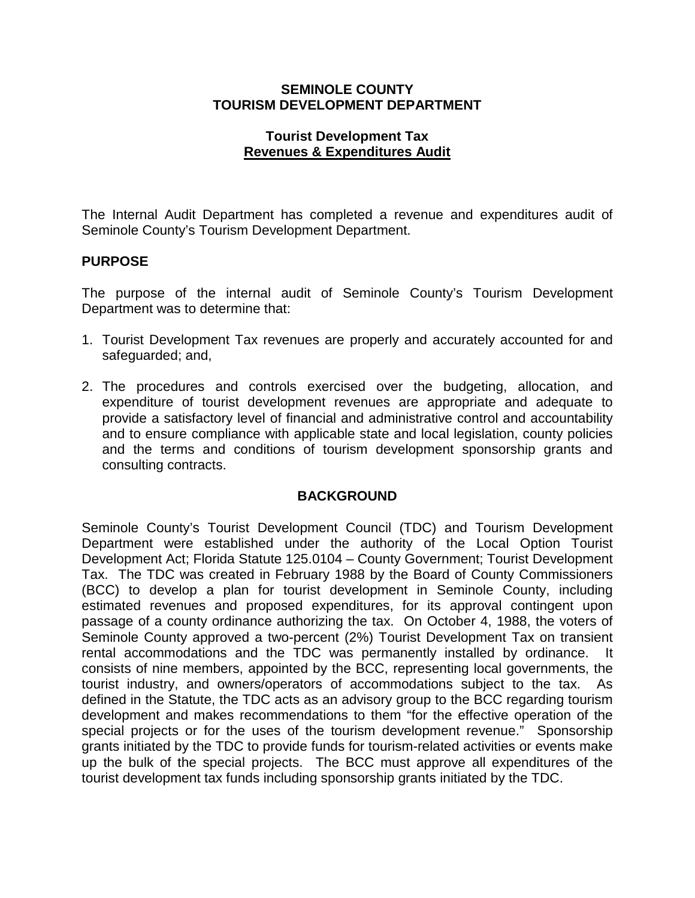# **SEMINOLE COUNTY TOURISM DEVELOPMENT DEPARTMENT**

#### **Tourist Development Tax Revenues & Expenditures Audit**

The Internal Audit Department has completed a revenue and expenditures audit of Seminole County's Tourism Development Department.

# **PURPOSE**

The purpose of the internal audit of Seminole County's Tourism Development Department was to determine that:

- 1. Tourist Development Tax revenues are properly and accurately accounted for and safeguarded; and,
- 2. The procedures and controls exercised over the budgeting, allocation, and expenditure of tourist development revenues are appropriate and adequate to provide a satisfactory level of financial and administrative control and accountability and to ensure compliance with applicable state and local legislation, county policies and the terms and conditions of tourism development sponsorship grants and consulting contracts.

#### **BACKGROUND**

Seminole County's Tourist Development Council (TDC) and Tourism Development Department were established under the authority of the Local Option Tourist Development Act; Florida Statute 125.0104 – County Government; Tourist Development Tax. The TDC was created in February 1988 by the Board of County Commissioners (BCC) to develop a plan for tourist development in Seminole County, including estimated revenues and proposed expenditures, for its approval contingent upon passage of a county ordinance authorizing the tax. On October 4, 1988, the voters of Seminole County approved a two-percent (2%) Tourist Development Tax on transient rental accommodations and the TDC was permanently installed by ordinance. It consists of nine members, appointed by the BCC, representing local governments, the tourist industry, and owners/operators of accommodations subject to the tax. As defined in the Statute, the TDC acts as an advisory group to the BCC regarding tourism development and makes recommendations to them "for the effective operation of the special projects or for the uses of the tourism development revenue." Sponsorship grants initiated by the TDC to provide funds for tourism-related activities or events make up the bulk of the special projects. The BCC must approve all expenditures of the tourist development tax funds including sponsorship grants initiated by the TDC.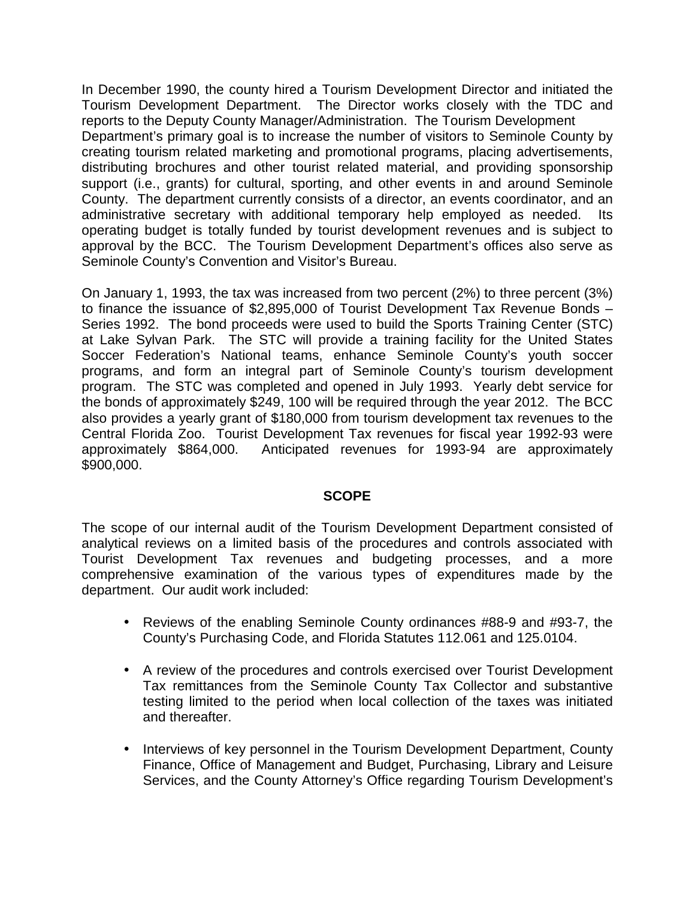In December 1990, the county hired a Tourism Development Director and initiated the Tourism Development Department. The Director works closely with the TDC and reports to the Deputy County Manager/Administration. The Tourism Development Department's primary goal is to increase the number of visitors to Seminole County by creating tourism related marketing and promotional programs, placing advertisements, distributing brochures and other tourist related material, and providing sponsorship support (i.e., grants) for cultural, sporting, and other events in and around Seminole County. The department currently consists of a director, an events coordinator, and an administrative secretary with additional temporary help employed as needed. Its operating budget is totally funded by tourist development revenues and is subject to approval by the BCC. The Tourism Development Department's offices also serve as Seminole County's Convention and Visitor's Bureau.

On January 1, 1993, the tax was increased from two percent (2%) to three percent (3%) to finance the issuance of \$2,895,000 of Tourist Development Tax Revenue Bonds – Series 1992. The bond proceeds were used to build the Sports Training Center (STC) at Lake Sylvan Park. The STC will provide a training facility for the United States Soccer Federation's National teams, enhance Seminole County's youth soccer programs, and form an integral part of Seminole County's tourism development program. The STC was completed and opened in July 1993. Yearly debt service for the bonds of approximately \$249, 100 will be required through the year 2012. The BCC also provides a yearly grant of \$180,000 from tourism development tax revenues to the Central Florida Zoo. Tourist Development Tax revenues for fiscal year 1992-93 were approximately \$864,000. Anticipated revenues for 1993-94 are approximately \$900,000.

# **SCOPE**

The scope of our internal audit of the Tourism Development Department consisted of analytical reviews on a limited basis of the procedures and controls associated with Tourist Development Tax revenues and budgeting processes, and a more comprehensive examination of the various types of expenditures made by the department. Our audit work included:

- Reviews of the enabling Seminole County ordinances #88-9 and #93-7, the County's Purchasing Code, and Florida Statutes 112.061 and 125.0104.
- A review of the procedures and controls exercised over Tourist Development Tax remittances from the Seminole County Tax Collector and substantive testing limited to the period when local collection of the taxes was initiated and thereafter.
- Interviews of key personnel in the Tourism Development Department, County Finance, Office of Management and Budget, Purchasing, Library and Leisure Services, and the County Attorney's Office regarding Tourism Development's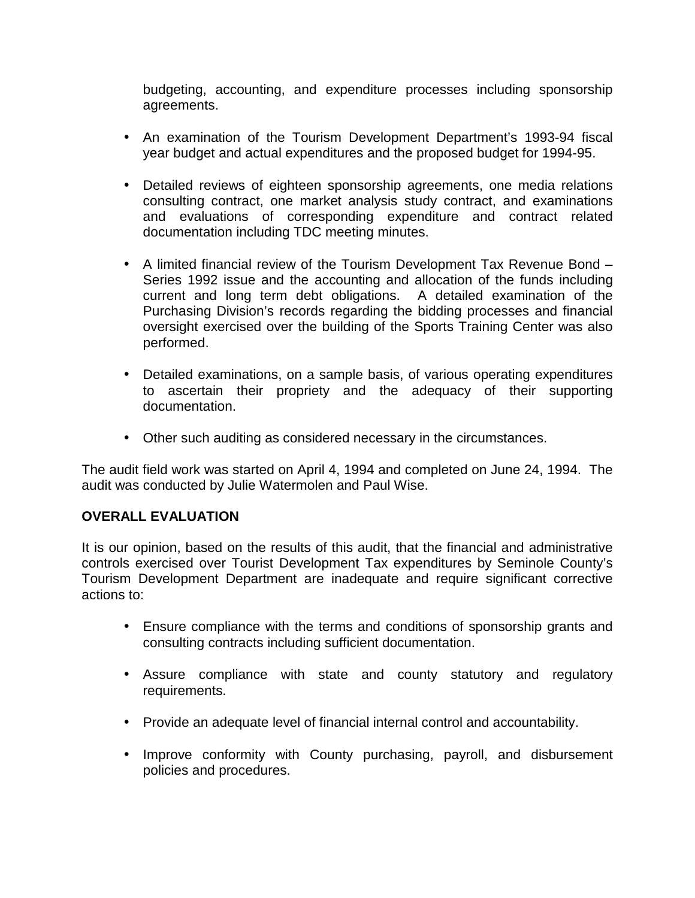budgeting, accounting, and expenditure processes including sponsorship agreements.

- An examination of the Tourism Development Department's 1993-94 fiscal year budget and actual expenditures and the proposed budget for 1994-95.
- Detailed reviews of eighteen sponsorship agreements, one media relations consulting contract, one market analysis study contract, and examinations and evaluations of corresponding expenditure and contract related documentation including TDC meeting minutes.
- A limited financial review of the Tourism Development Tax Revenue Bond Series 1992 issue and the accounting and allocation of the funds including current and long term debt obligations. A detailed examination of the Purchasing Division's records regarding the bidding processes and financial oversight exercised over the building of the Sports Training Center was also performed.
- Detailed examinations, on a sample basis, of various operating expenditures to ascertain their propriety and the adequacy of their supporting documentation.
- Other such auditing as considered necessary in the circumstances.

The audit field work was started on April 4, 1994 and completed on June 24, 1994. The audit was conducted by Julie Watermolen and Paul Wise.

# **OVERALL EVALUATION**

It is our opinion, based on the results of this audit, that the financial and administrative controls exercised over Tourist Development Tax expenditures by Seminole County's Tourism Development Department are inadequate and require significant corrective actions to:

- Ensure compliance with the terms and conditions of sponsorship grants and consulting contracts including sufficient documentation.
- Assure compliance with state and county statutory and regulatory requirements.
- Provide an adequate level of financial internal control and accountability.
- Improve conformity with County purchasing, payroll, and disbursement policies and procedures.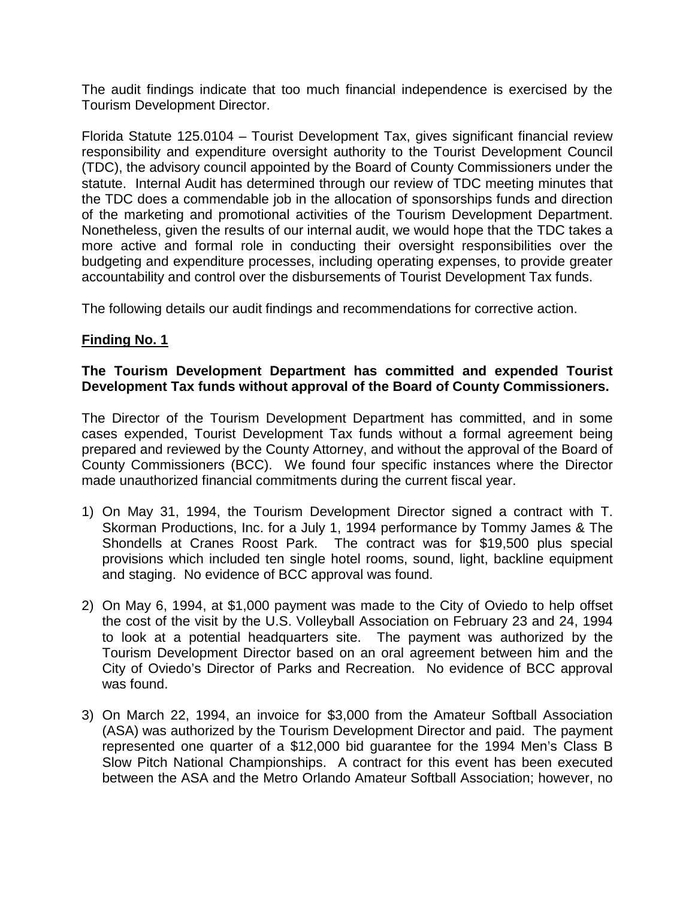The audit findings indicate that too much financial independence is exercised by the Tourism Development Director.

Florida Statute 125.0104 – Tourist Development Tax, gives significant financial review responsibility and expenditure oversight authority to the Tourist Development Council (TDC), the advisory council appointed by the Board of County Commissioners under the statute. Internal Audit has determined through our review of TDC meeting minutes that the TDC does a commendable job in the allocation of sponsorships funds and direction of the marketing and promotional activities of the Tourism Development Department. Nonetheless, given the results of our internal audit, we would hope that the TDC takes a more active and formal role in conducting their oversight responsibilities over the budgeting and expenditure processes, including operating expenses, to provide greater accountability and control over the disbursements of Tourist Development Tax funds.

The following details our audit findings and recommendations for corrective action.

# **Finding No. 1**

# **The Tourism Development Department has committed and expended Tourist Development Tax funds without approval of the Board of County Commissioners.**

The Director of the Tourism Development Department has committed, and in some cases expended, Tourist Development Tax funds without a formal agreement being prepared and reviewed by the County Attorney, and without the approval of the Board of County Commissioners (BCC). We found four specific instances where the Director made unauthorized financial commitments during the current fiscal year.

- 1) On May 31, 1994, the Tourism Development Director signed a contract with T. Skorman Productions, Inc. for a July 1, 1994 performance by Tommy James & The Shondells at Cranes Roost Park. The contract was for \$19,500 plus special provisions which included ten single hotel rooms, sound, light, backline equipment and staging. No evidence of BCC approval was found.
- 2) On May 6, 1994, at \$1,000 payment was made to the City of Oviedo to help offset the cost of the visit by the U.S. Volleyball Association on February 23 and 24, 1994 to look at a potential headquarters site. The payment was authorized by the Tourism Development Director based on an oral agreement between him and the City of Oviedo's Director of Parks and Recreation. No evidence of BCC approval was found.
- 3) On March 22, 1994, an invoice for \$3,000 from the Amateur Softball Association (ASA) was authorized by the Tourism Development Director and paid. The payment represented one quarter of a \$12,000 bid guarantee for the 1994 Men's Class B Slow Pitch National Championships. A contract for this event has been executed between the ASA and the Metro Orlando Amateur Softball Association; however, no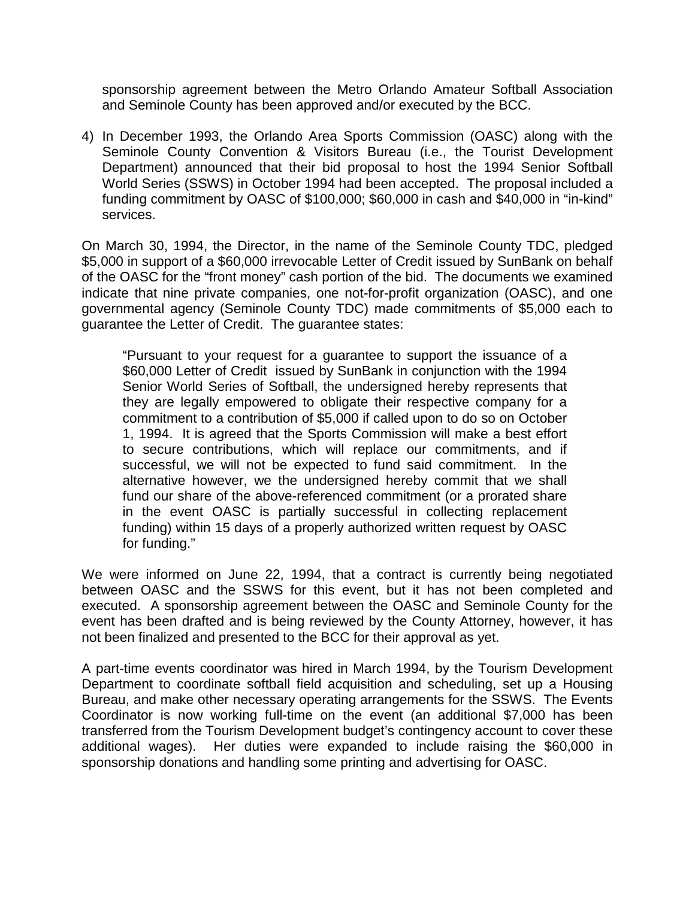sponsorship agreement between the Metro Orlando Amateur Softball Association and Seminole County has been approved and/or executed by the BCC.

4) In December 1993, the Orlando Area Sports Commission (OASC) along with the Seminole County Convention & Visitors Bureau (i.e., the Tourist Development Department) announced that their bid proposal to host the 1994 Senior Softball World Series (SSWS) in October 1994 had been accepted. The proposal included a funding commitment by OASC of \$100,000; \$60,000 in cash and \$40,000 in "in-kind" services.

On March 30, 1994, the Director, in the name of the Seminole County TDC, pledged \$5,000 in support of a \$60,000 irrevocable Letter of Credit issued by SunBank on behalf of the OASC for the "front money" cash portion of the bid. The documents we examined indicate that nine private companies, one not-for-profit organization (OASC), and one governmental agency (Seminole County TDC) made commitments of \$5,000 each to guarantee the Letter of Credit. The guarantee states:

"Pursuant to your request for a guarantee to support the issuance of a \$60,000 Letter of Credit issued by SunBank in conjunction with the 1994 Senior World Series of Softball, the undersigned hereby represents that they are legally empowered to obligate their respective company for a commitment to a contribution of \$5,000 if called upon to do so on October 1, 1994. It is agreed that the Sports Commission will make a best effort to secure contributions, which will replace our commitments, and if successful, we will not be expected to fund said commitment. In the alternative however, we the undersigned hereby commit that we shall fund our share of the above-referenced commitment (or a prorated share in the event OASC is partially successful in collecting replacement funding) within 15 days of a properly authorized written request by OASC for funding."

We were informed on June 22, 1994, that a contract is currently being negotiated between OASC and the SSWS for this event, but it has not been completed and executed. A sponsorship agreement between the OASC and Seminole County for the event has been drafted and is being reviewed by the County Attorney, however, it has not been finalized and presented to the BCC for their approval as yet.

A part-time events coordinator was hired in March 1994, by the Tourism Development Department to coordinate softball field acquisition and scheduling, set up a Housing Bureau, and make other necessary operating arrangements for the SSWS. The Events Coordinator is now working full-time on the event (an additional \$7,000 has been transferred from the Tourism Development budget's contingency account to cover these additional wages). Her duties were expanded to include raising the \$60,000 in sponsorship donations and handling some printing and advertising for OASC.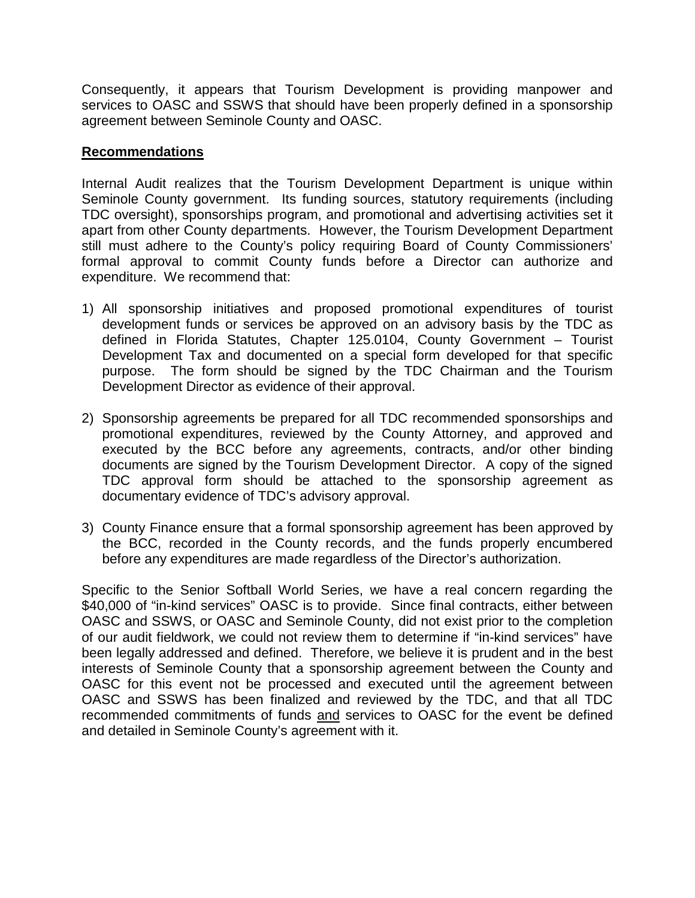Consequently, it appears that Tourism Development is providing manpower and services to OASC and SSWS that should have been properly defined in a sponsorship agreement between Seminole County and OASC.

#### **Recommendations**

Internal Audit realizes that the Tourism Development Department is unique within Seminole County government. Its funding sources, statutory requirements (including TDC oversight), sponsorships program, and promotional and advertising activities set it apart from other County departments. However, the Tourism Development Department still must adhere to the County's policy requiring Board of County Commissioners' formal approval to commit County funds before a Director can authorize and expenditure. We recommend that:

- 1) All sponsorship initiatives and proposed promotional expenditures of tourist development funds or services be approved on an advisory basis by the TDC as defined in Florida Statutes, Chapter 125.0104, County Government – Tourist Development Tax and documented on a special form developed for that specific purpose. The form should be signed by the TDC Chairman and the Tourism Development Director as evidence of their approval.
- 2) Sponsorship agreements be prepared for all TDC recommended sponsorships and promotional expenditures, reviewed by the County Attorney, and approved and executed by the BCC before any agreements, contracts, and/or other binding documents are signed by the Tourism Development Director. A copy of the signed TDC approval form should be attached to the sponsorship agreement as documentary evidence of TDC's advisory approval.
- 3) County Finance ensure that a formal sponsorship agreement has been approved by the BCC, recorded in the County records, and the funds properly encumbered before any expenditures are made regardless of the Director's authorization.

Specific to the Senior Softball World Series, we have a real concern regarding the \$40,000 of "in-kind services" OASC is to provide. Since final contracts, either between OASC and SSWS, or OASC and Seminole County, did not exist prior to the completion of our audit fieldwork, we could not review them to determine if "in-kind services" have been legally addressed and defined. Therefore, we believe it is prudent and in the best interests of Seminole County that a sponsorship agreement between the County and OASC for this event not be processed and executed until the agreement between OASC and SSWS has been finalized and reviewed by the TDC, and that all TDC recommended commitments of funds and services to OASC for the event be defined and detailed in Seminole County's agreement with it.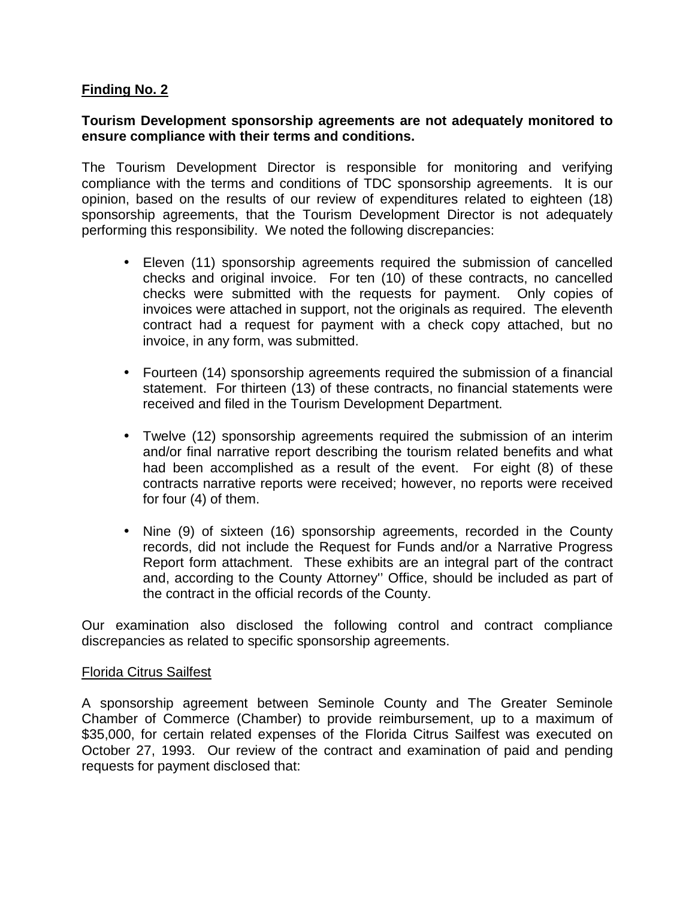# **Finding No. 2**

#### **Tourism Development sponsorship agreements are not adequately monitored to ensure compliance with their terms and conditions.**

The Tourism Development Director is responsible for monitoring and verifying compliance with the terms and conditions of TDC sponsorship agreements. It is our opinion, based on the results of our review of expenditures related to eighteen (18) sponsorship agreements, that the Tourism Development Director is not adequately performing this responsibility. We noted the following discrepancies:

- Eleven (11) sponsorship agreements required the submission of cancelled checks and original invoice. For ten (10) of these contracts, no cancelled checks were submitted with the requests for payment. Only copies of invoices were attached in support, not the originals as required. The eleventh contract had a request for payment with a check copy attached, but no invoice, in any form, was submitted.
- Fourteen (14) sponsorship agreements required the submission of a financial statement. For thirteen (13) of these contracts, no financial statements were received and filed in the Tourism Development Department.
- Twelve (12) sponsorship agreements required the submission of an interim and/or final narrative report describing the tourism related benefits and what had been accomplished as a result of the event. For eight (8) of these contracts narrative reports were received; however, no reports were received for four (4) of them.
- Nine (9) of sixteen (16) sponsorship agreements, recorded in the County records, did not include the Request for Funds and/or a Narrative Progress Report form attachment. These exhibits are an integral part of the contract and, according to the County Attorney'' Office, should be included as part of the contract in the official records of the County.

Our examination also disclosed the following control and contract compliance discrepancies as related to specific sponsorship agreements.

#### Florida Citrus Sailfest

A sponsorship agreement between Seminole County and The Greater Seminole Chamber of Commerce (Chamber) to provide reimbursement, up to a maximum of \$35,000, for certain related expenses of the Florida Citrus Sailfest was executed on October 27, 1993. Our review of the contract and examination of paid and pending requests for payment disclosed that: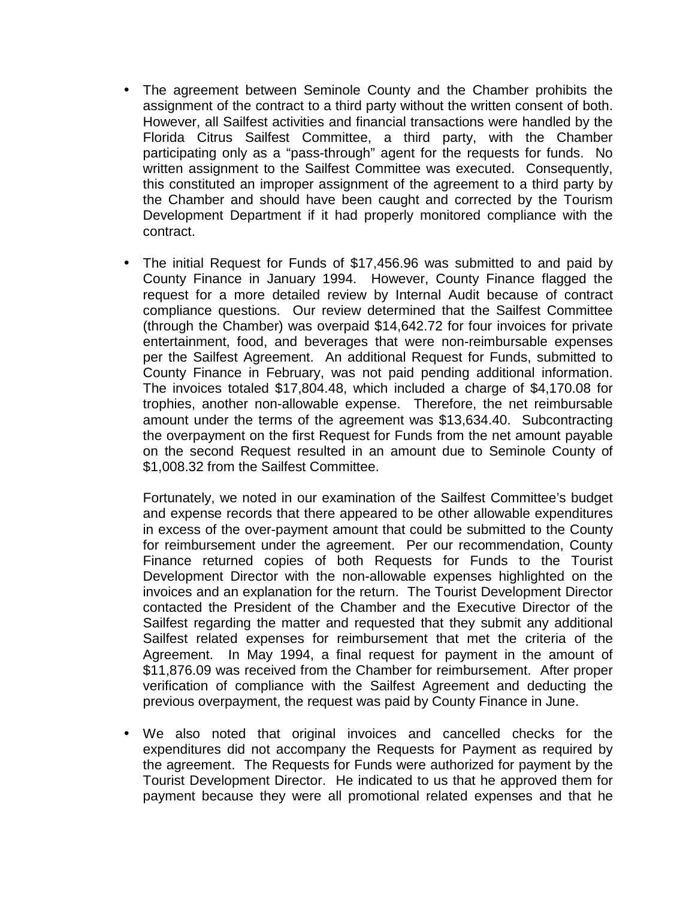- The agreement between Seminole County and the Chamber prohibits the assignment of the contract to a third party without the written consent of both. However, all Sailfest activities and financial transactions were handled by the Florida Citrus Sailfest Committee, a third party, with the Chamber participating only as a "pass-through" agent for the requests for funds. No written assignment to the Sailfest Committee was executed. Consequently, this constituted an improper assignment of the agreement to a third party by the Chamber and should have been caught and corrected by the Tourism Development Department if it had properly monitored compliance with the contract.
- The initial Request for Funds of \$17,456.96 was submitted to and paid by County Finance in January 1994. However, County Finance flagged the request for a more detailed review by Internal Audit because of contract compliance questions. Our review determined that the Sailfest Committee (through the Chamber) was overpaid \$14,642.72 for four invoices for private entertainment, food, and beverages that were non-reimbursable expenses per the Sailfest Agreement. An additional Request for Funds, submitted to County Finance in February, was not paid pending additional information. The invoices totaled \$17,804.48, which included a charge of \$4,170.08 for trophies, another non-allowable expense. Therefore, the net reimbursable amount under the terms of the agreement was \$13,634.40. Subcontracting the overpayment on the first Request for Funds from the net amount payable on the second Request resulted in an amount due to Seminole County of \$1,008.32 from the Sailfest Committee.

Fortunately, we noted in our examination of the Sailfest Committee's budget and expense records that there appeared to be other allowable expenditures in excess of the over-payment amount that could be submitted to the County for reimbursement under the agreement. Per our recommendation, County Finance returned copies of both Requests for Funds to the Tourist Development Director with the non-allowable expenses highlighted on the invoices and an explanation for the return. The Tourist Development Director contacted the President of the Chamber and the Executive Director of the Sailfest regarding the matter and requested that they submit any additional Sailfest related expenses for reimbursement that met the criteria of the Agreement. In May 1994, a final request for payment in the amount of \$11,876.09 was received from the Chamber for reimbursement. After proper verification of compliance with the Sailfest Agreement and deducting the previous overpayment, the request was paid by County Finance in June.

• We also noted that original invoices and cancelled checks for the expenditures did not accompany the Requests for Payment as required by the agreement. The Requests for Funds were authorized for payment by the Tourist Development Director. He indicated to us that he approved them for payment because they were all promotional related expenses and that he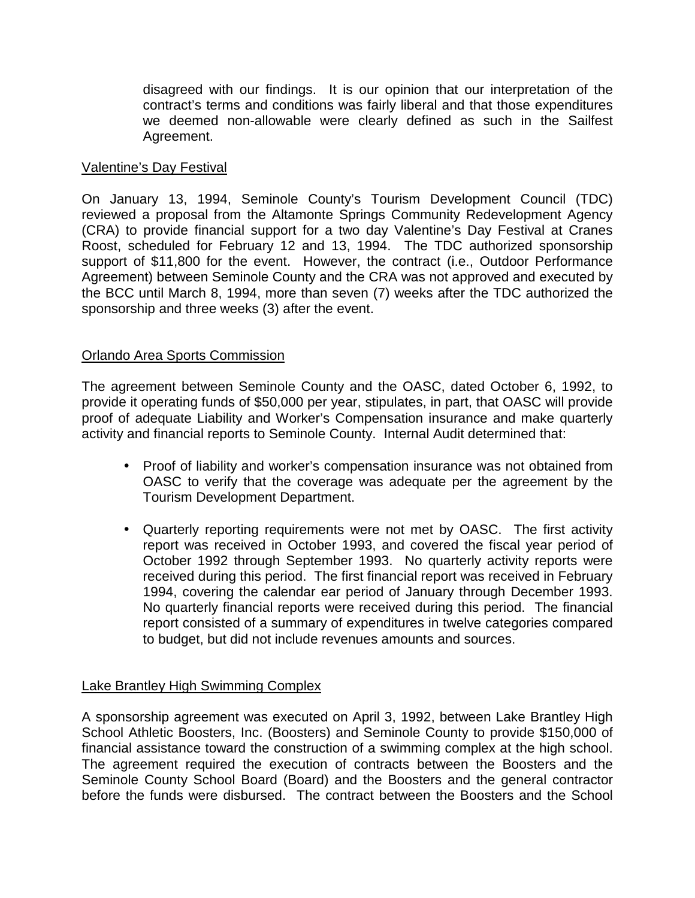disagreed with our findings. It is our opinion that our interpretation of the contract's terms and conditions was fairly liberal and that those expenditures we deemed non-allowable were clearly defined as such in the Sailfest Agreement.

#### Valentine's Day Festival

On January 13, 1994, Seminole County's Tourism Development Council (TDC) reviewed a proposal from the Altamonte Springs Community Redevelopment Agency (CRA) to provide financial support for a two day Valentine's Day Festival at Cranes Roost, scheduled for February 12 and 13, 1994. The TDC authorized sponsorship support of \$11,800 for the event. However, the contract (i.e., Outdoor Performance Agreement) between Seminole County and the CRA was not approved and executed by the BCC until March 8, 1994, more than seven (7) weeks after the TDC authorized the sponsorship and three weeks (3) after the event.

# Orlando Area Sports Commission

The agreement between Seminole County and the OASC, dated October 6, 1992, to provide it operating funds of \$50,000 per year, stipulates, in part, that OASC will provide proof of adequate Liability and Worker's Compensation insurance and make quarterly activity and financial reports to Seminole County. Internal Audit determined that:

- Proof of liability and worker's compensation insurance was not obtained from OASC to verify that the coverage was adequate per the agreement by the Tourism Development Department.
- Quarterly reporting requirements were not met by OASC. The first activity report was received in October 1993, and covered the fiscal year period of October 1992 through September 1993. No quarterly activity reports were received during this period. The first financial report was received in February 1994, covering the calendar ear period of January through December 1993. No quarterly financial reports were received during this period. The financial report consisted of a summary of expenditures in twelve categories compared to budget, but did not include revenues amounts and sources.

# Lake Brantley High Swimming Complex

A sponsorship agreement was executed on April 3, 1992, between Lake Brantley High School Athletic Boosters, Inc. (Boosters) and Seminole County to provide \$150,000 of financial assistance toward the construction of a swimming complex at the high school. The agreement required the execution of contracts between the Boosters and the Seminole County School Board (Board) and the Boosters and the general contractor before the funds were disbursed. The contract between the Boosters and the School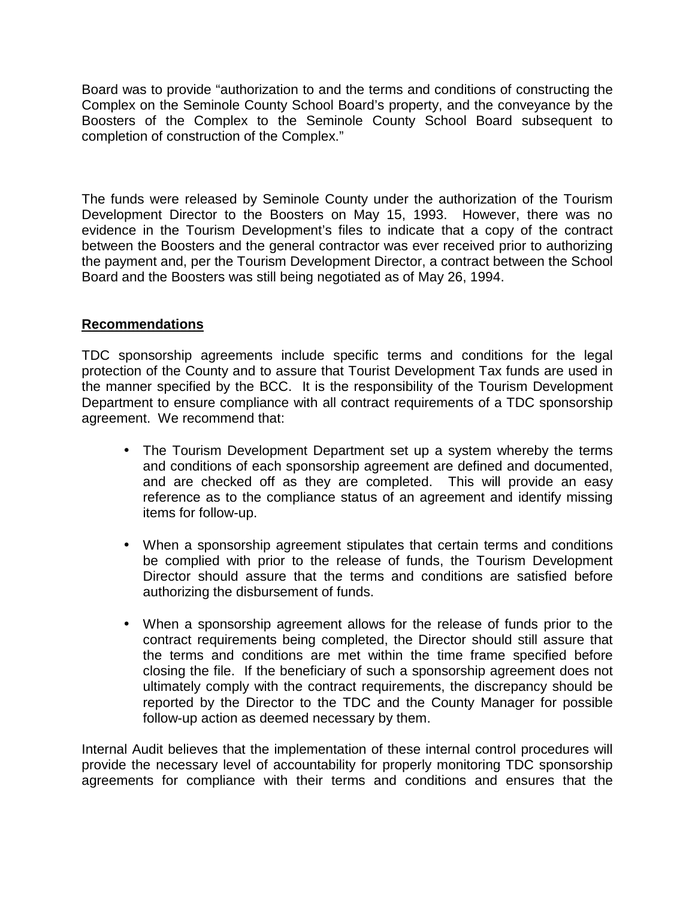Board was to provide "authorization to and the terms and conditions of constructing the Complex on the Seminole County School Board's property, and the conveyance by the Boosters of the Complex to the Seminole County School Board subsequent to completion of construction of the Complex."

The funds were released by Seminole County under the authorization of the Tourism Development Director to the Boosters on May 15, 1993. However, there was no evidence in the Tourism Development's files to indicate that a copy of the contract between the Boosters and the general contractor was ever received prior to authorizing the payment and, per the Tourism Development Director, a contract between the School Board and the Boosters was still being negotiated as of May 26, 1994.

# **Recommendations**

TDC sponsorship agreements include specific terms and conditions for the legal protection of the County and to assure that Tourist Development Tax funds are used in the manner specified by the BCC. It is the responsibility of the Tourism Development Department to ensure compliance with all contract requirements of a TDC sponsorship agreement. We recommend that:

- The Tourism Development Department set up a system whereby the terms and conditions of each sponsorship agreement are defined and documented, and are checked off as they are completed. This will provide an easy reference as to the compliance status of an agreement and identify missing items for follow-up.
- When a sponsorship agreement stipulates that certain terms and conditions be complied with prior to the release of funds, the Tourism Development Director should assure that the terms and conditions are satisfied before authorizing the disbursement of funds.
- When a sponsorship agreement allows for the release of funds prior to the contract requirements being completed, the Director should still assure that the terms and conditions are met within the time frame specified before closing the file. If the beneficiary of such a sponsorship agreement does not ultimately comply with the contract requirements, the discrepancy should be reported by the Director to the TDC and the County Manager for possible follow-up action as deemed necessary by them.

Internal Audit believes that the implementation of these internal control procedures will provide the necessary level of accountability for properly monitoring TDC sponsorship agreements for compliance with their terms and conditions and ensures that the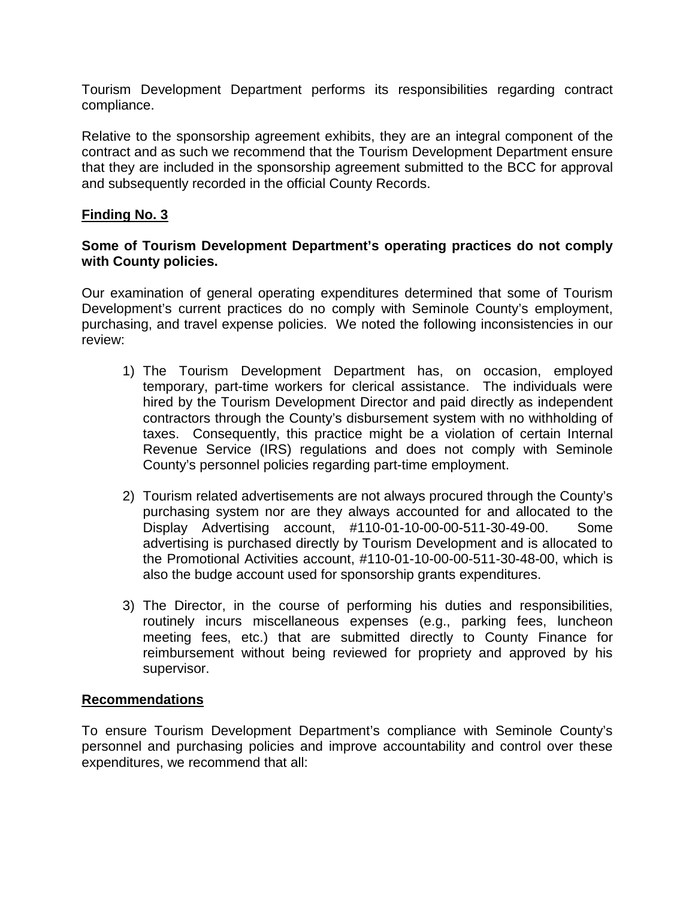Tourism Development Department performs its responsibilities regarding contract compliance.

Relative to the sponsorship agreement exhibits, they are an integral component of the contract and as such we recommend that the Tourism Development Department ensure that they are included in the sponsorship agreement submitted to the BCC for approval and subsequently recorded in the official County Records.

# **Finding No. 3**

# **Some of Tourism Development Department's operating practices do not comply with County policies.**

Our examination of general operating expenditures determined that some of Tourism Development's current practices do no comply with Seminole County's employment, purchasing, and travel expense policies. We noted the following inconsistencies in our review:

- 1) The Tourism Development Department has, on occasion, employed temporary, part-time workers for clerical assistance. The individuals were hired by the Tourism Development Director and paid directly as independent contractors through the County's disbursement system with no withholding of taxes. Consequently, this practice might be a violation of certain Internal Revenue Service (IRS) regulations and does not comply with Seminole County's personnel policies regarding part-time employment.
- 2) Tourism related advertisements are not always procured through the County's purchasing system nor are they always accounted for and allocated to the Display Advertising account, #110-01-10-00-00-511-30-49-00. Some advertising is purchased directly by Tourism Development and is allocated to the Promotional Activities account, #110-01-10-00-00-511-30-48-00, which is also the budge account used for sponsorship grants expenditures.
- 3) The Director, in the course of performing his duties and responsibilities, routinely incurs miscellaneous expenses (e.g., parking fees, luncheon meeting fees, etc.) that are submitted directly to County Finance for reimbursement without being reviewed for propriety and approved by his supervisor.

# **Recommendations**

To ensure Tourism Development Department's compliance with Seminole County's personnel and purchasing policies and improve accountability and control over these expenditures, we recommend that all: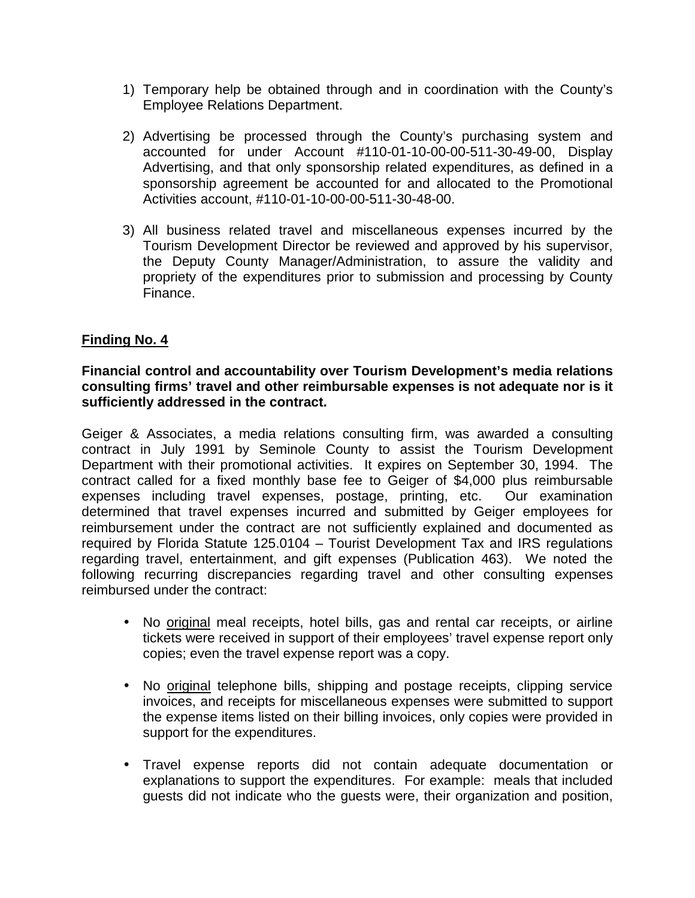- 1) Temporary help be obtained through and in coordination with the County's Employee Relations Department.
- 2) Advertising be processed through the County's purchasing system and accounted for under Account #110-01-10-00-00-511-30-49-00, Display Advertising, and that only sponsorship related expenditures, as defined in a sponsorship agreement be accounted for and allocated to the Promotional Activities account, #110-01-10-00-00-511-30-48-00.
- 3) All business related travel and miscellaneous expenses incurred by the Tourism Development Director be reviewed and approved by his supervisor, the Deputy County Manager/Administration, to assure the validity and propriety of the expenditures prior to submission and processing by County Finance.

# **Finding No. 4**

# **Financial control and accountability over Tourism Development's media relations consulting firms' travel and other reimbursable expenses is not adequate nor is it sufficiently addressed in the contract.**

Geiger & Associates, a media relations consulting firm, was awarded a consulting contract in July 1991 by Seminole County to assist the Tourism Development Department with their promotional activities. It expires on September 30, 1994. The contract called for a fixed monthly base fee to Geiger of \$4,000 plus reimbursable expenses including travel expenses, postage, printing, etc. Our examination determined that travel expenses incurred and submitted by Geiger employees for reimbursement under the contract are not sufficiently explained and documented as required by Florida Statute 125.0104 – Tourist Development Tax and IRS regulations regarding travel, entertainment, and gift expenses (Publication 463). We noted the following recurring discrepancies regarding travel and other consulting expenses reimbursed under the contract:

- No original meal receipts, hotel bills, gas and rental car receipts, or airline tickets were received in support of their employees' travel expense report only copies; even the travel expense report was a copy.
- No original telephone bills, shipping and postage receipts, clipping service invoices, and receipts for miscellaneous expenses were submitted to support the expense items listed on their billing invoices, only copies were provided in support for the expenditures.
- Travel expense reports did not contain adequate documentation or explanations to support the expenditures. For example: meals that included guests did not indicate who the guests were, their organization and position,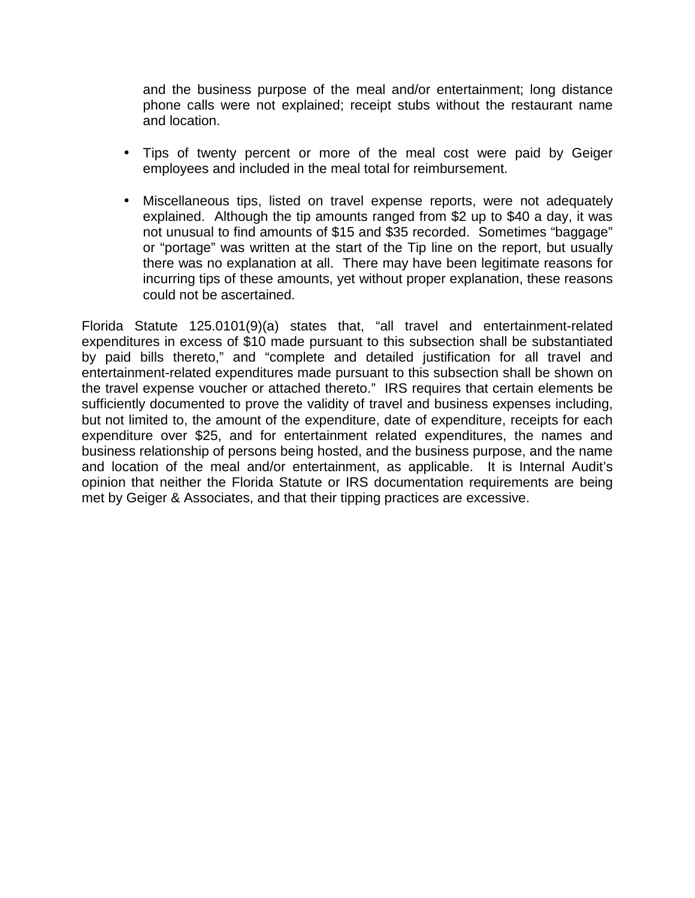and the business purpose of the meal and/or entertainment; long distance phone calls were not explained; receipt stubs without the restaurant name and location.

- Tips of twenty percent or more of the meal cost were paid by Geiger employees and included in the meal total for reimbursement.
- Miscellaneous tips, listed on travel expense reports, were not adequately explained. Although the tip amounts ranged from \$2 up to \$40 a day, it was not unusual to find amounts of \$15 and \$35 recorded. Sometimes "baggage" or "portage" was written at the start of the Tip line on the report, but usually there was no explanation at all. There may have been legitimate reasons for incurring tips of these amounts, yet without proper explanation, these reasons could not be ascertained.

Florida Statute 125.0101(9)(a) states that, "all travel and entertainment-related expenditures in excess of \$10 made pursuant to this subsection shall be substantiated by paid bills thereto," and "complete and detailed justification for all travel and entertainment-related expenditures made pursuant to this subsection shall be shown on the travel expense voucher or attached thereto." IRS requires that certain elements be sufficiently documented to prove the validity of travel and business expenses including, but not limited to, the amount of the expenditure, date of expenditure, receipts for each expenditure over \$25, and for entertainment related expenditures, the names and business relationship of persons being hosted, and the business purpose, and the name and location of the meal and/or entertainment, as applicable. It is Internal Audit's opinion that neither the Florida Statute or IRS documentation requirements are being met by Geiger & Associates, and that their tipping practices are excessive.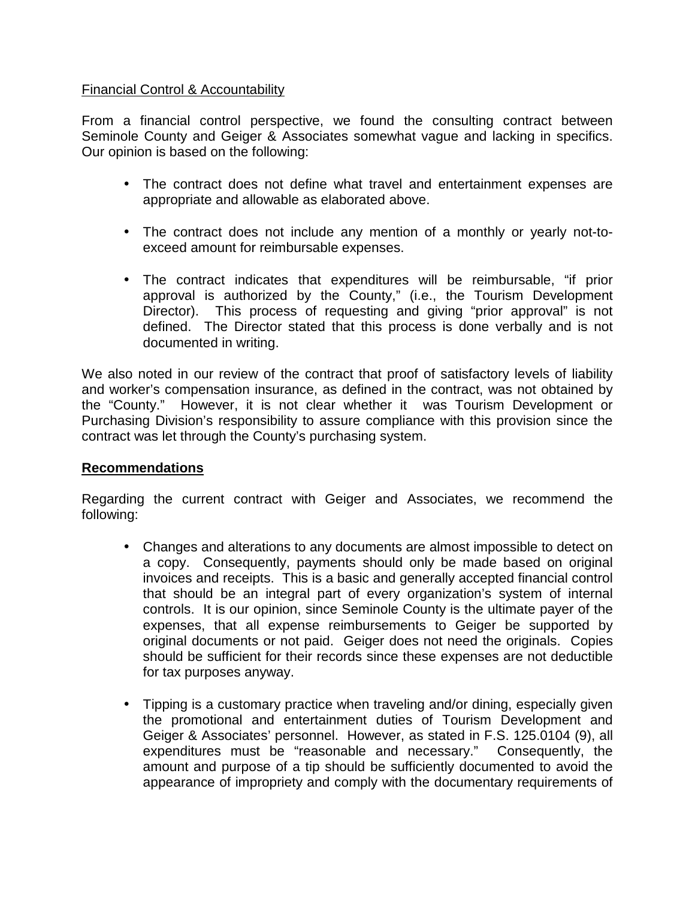# Financial Control & Accountability

From a financial control perspective, we found the consulting contract between Seminole County and Geiger & Associates somewhat vague and lacking in specifics. Our opinion is based on the following:

- The contract does not define what travel and entertainment expenses are appropriate and allowable as elaborated above.
- The contract does not include any mention of a monthly or yearly not-toexceed amount for reimbursable expenses.
- The contract indicates that expenditures will be reimbursable, "if prior approval is authorized by the County," (i.e., the Tourism Development Director). This process of requesting and giving "prior approval" is not defined. The Director stated that this process is done verbally and is not documented in writing.

We also noted in our review of the contract that proof of satisfactory levels of liability and worker's compensation insurance, as defined in the contract, was not obtained by the "County." However, it is not clear whether it was Tourism Development or Purchasing Division's responsibility to assure compliance with this provision since the contract was let through the County's purchasing system.

# **Recommendations**

Regarding the current contract with Geiger and Associates, we recommend the following:

- Changes and alterations to any documents are almost impossible to detect on a copy. Consequently, payments should only be made based on original invoices and receipts. This is a basic and generally accepted financial control that should be an integral part of every organization's system of internal controls. It is our opinion, since Seminole County is the ultimate payer of the expenses, that all expense reimbursements to Geiger be supported by original documents or not paid. Geiger does not need the originals. Copies should be sufficient for their records since these expenses are not deductible for tax purposes anyway.
- Tipping is a customary practice when traveling and/or dining, especially given the promotional and entertainment duties of Tourism Development and Geiger & Associates' personnel. However, as stated in F.S. 125.0104 (9), all expenditures must be "reasonable and necessary." Consequently, the amount and purpose of a tip should be sufficiently documented to avoid the appearance of impropriety and comply with the documentary requirements of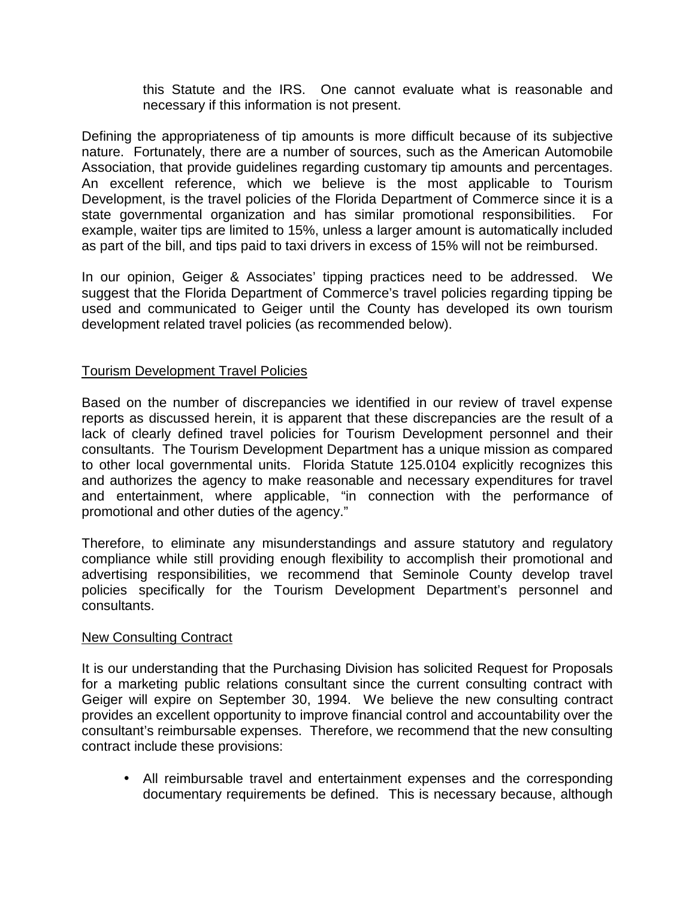this Statute and the IRS. One cannot evaluate what is reasonable and necessary if this information is not present.

Defining the appropriateness of tip amounts is more difficult because of its subjective nature. Fortunately, there are a number of sources, such as the American Automobile Association, that provide guidelines regarding customary tip amounts and percentages. An excellent reference, which we believe is the most applicable to Tourism Development, is the travel policies of the Florida Department of Commerce since it is a state governmental organization and has similar promotional responsibilities. For example, waiter tips are limited to 15%, unless a larger amount is automatically included as part of the bill, and tips paid to taxi drivers in excess of 15% will not be reimbursed.

In our opinion, Geiger & Associates' tipping practices need to be addressed. We suggest that the Florida Department of Commerce's travel policies regarding tipping be used and communicated to Geiger until the County has developed its own tourism development related travel policies (as recommended below).

# Tourism Development Travel Policies

Based on the number of discrepancies we identified in our review of travel expense reports as discussed herein, it is apparent that these discrepancies are the result of a lack of clearly defined travel policies for Tourism Development personnel and their consultants. The Tourism Development Department has a unique mission as compared to other local governmental units. Florida Statute 125.0104 explicitly recognizes this and authorizes the agency to make reasonable and necessary expenditures for travel and entertainment, where applicable, "in connection with the performance of promotional and other duties of the agency."

Therefore, to eliminate any misunderstandings and assure statutory and regulatory compliance while still providing enough flexibility to accomplish their promotional and advertising responsibilities, we recommend that Seminole County develop travel policies specifically for the Tourism Development Department's personnel and consultants.

#### New Consulting Contract

It is our understanding that the Purchasing Division has solicited Request for Proposals for a marketing public relations consultant since the current consulting contract with Geiger will expire on September 30, 1994. We believe the new consulting contract provides an excellent opportunity to improve financial control and accountability over the consultant's reimbursable expenses. Therefore, we recommend that the new consulting contract include these provisions:

• All reimbursable travel and entertainment expenses and the corresponding documentary requirements be defined. This is necessary because, although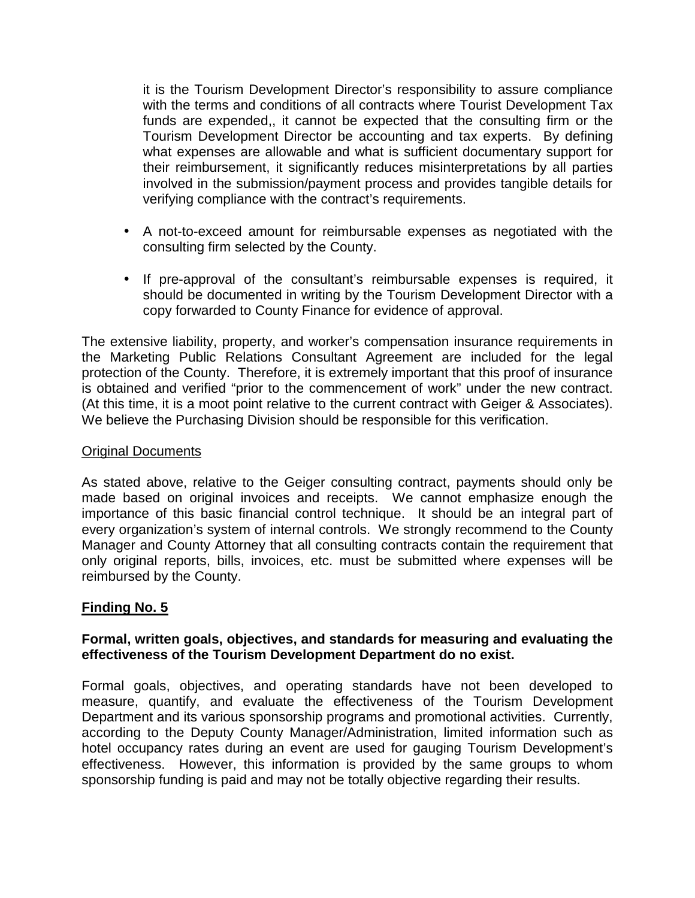it is the Tourism Development Director's responsibility to assure compliance with the terms and conditions of all contracts where Tourist Development Tax funds are expended,, it cannot be expected that the consulting firm or the Tourism Development Director be accounting and tax experts. By defining what expenses are allowable and what is sufficient documentary support for their reimbursement, it significantly reduces misinterpretations by all parties involved in the submission/payment process and provides tangible details for verifying compliance with the contract's requirements.

- A not-to-exceed amount for reimbursable expenses as negotiated with the consulting firm selected by the County.
- If pre-approval of the consultant's reimbursable expenses is required, it should be documented in writing by the Tourism Development Director with a copy forwarded to County Finance for evidence of approval.

The extensive liability, property, and worker's compensation insurance requirements in the Marketing Public Relations Consultant Agreement are included for the legal protection of the County. Therefore, it is extremely important that this proof of insurance is obtained and verified "prior to the commencement of work" under the new contract. (At this time, it is a moot point relative to the current contract with Geiger & Associates). We believe the Purchasing Division should be responsible for this verification.

#### Original Documents

As stated above, relative to the Geiger consulting contract, payments should only be made based on original invoices and receipts. We cannot emphasize enough the importance of this basic financial control technique. It should be an integral part of every organization's system of internal controls. We strongly recommend to the County Manager and County Attorney that all consulting contracts contain the requirement that only original reports, bills, invoices, etc. must be submitted where expenses will be reimbursed by the County.

# **Finding No. 5**

# **Formal, written goals, objectives, and standards for measuring and evaluating the effectiveness of the Tourism Development Department do no exist.**

Formal goals, objectives, and operating standards have not been developed to measure, quantify, and evaluate the effectiveness of the Tourism Development Department and its various sponsorship programs and promotional activities. Currently, according to the Deputy County Manager/Administration, limited information such as hotel occupancy rates during an event are used for gauging Tourism Development's effectiveness. However, this information is provided by the same groups to whom sponsorship funding is paid and may not be totally objective regarding their results.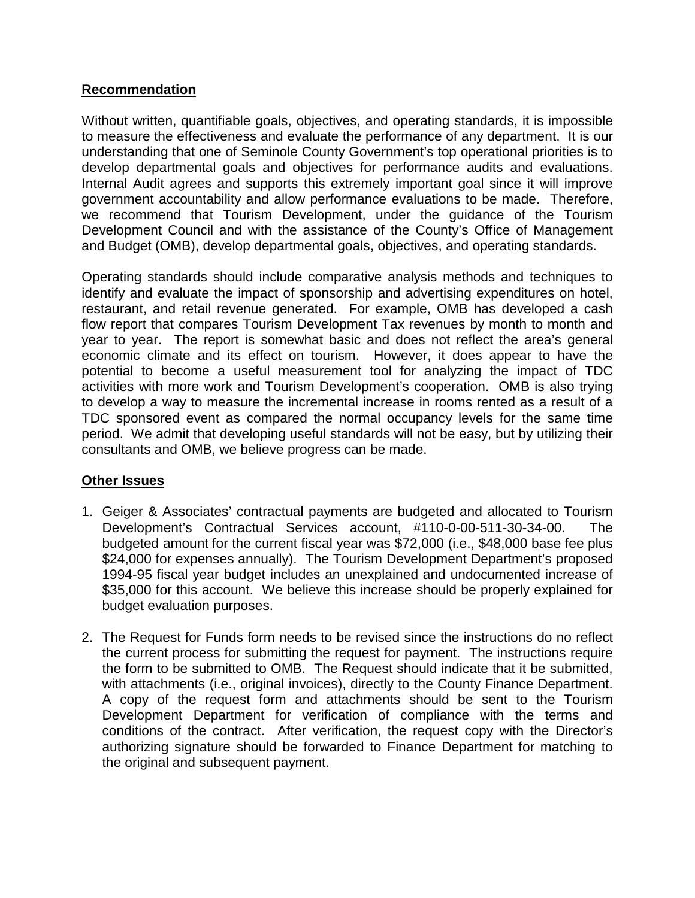# **Recommendation**

Without written, quantifiable goals, objectives, and operating standards, it is impossible to measure the effectiveness and evaluate the performance of any department. It is our understanding that one of Seminole County Government's top operational priorities is to develop departmental goals and objectives for performance audits and evaluations. Internal Audit agrees and supports this extremely important goal since it will improve government accountability and allow performance evaluations to be made. Therefore, we recommend that Tourism Development, under the guidance of the Tourism Development Council and with the assistance of the County's Office of Management and Budget (OMB), develop departmental goals, objectives, and operating standards.

Operating standards should include comparative analysis methods and techniques to identify and evaluate the impact of sponsorship and advertising expenditures on hotel, restaurant, and retail revenue generated. For example, OMB has developed a cash flow report that compares Tourism Development Tax revenues by month to month and year to year. The report is somewhat basic and does not reflect the area's general economic climate and its effect on tourism. However, it does appear to have the potential to become a useful measurement tool for analyzing the impact of TDC activities with more work and Tourism Development's cooperation. OMB is also trying to develop a way to measure the incremental increase in rooms rented as a result of a TDC sponsored event as compared the normal occupancy levels for the same time period. We admit that developing useful standards will not be easy, but by utilizing their consultants and OMB, we believe progress can be made.

# **Other Issues**

- 1. Geiger & Associates' contractual payments are budgeted and allocated to Tourism Development's Contractual Services account, #110-0-00-511-30-34-00. The budgeted amount for the current fiscal year was \$72,000 (i.e., \$48,000 base fee plus \$24,000 for expenses annually). The Tourism Development Department's proposed 1994-95 fiscal year budget includes an unexplained and undocumented increase of \$35,000 for this account. We believe this increase should be properly explained for budget evaluation purposes.
- 2. The Request for Funds form needs to be revised since the instructions do no reflect the current process for submitting the request for payment. The instructions require the form to be submitted to OMB. The Request should indicate that it be submitted, with attachments (i.e., original invoices), directly to the County Finance Department. A copy of the request form and attachments should be sent to the Tourism Development Department for verification of compliance with the terms and conditions of the contract. After verification, the request copy with the Director's authorizing signature should be forwarded to Finance Department for matching to the original and subsequent payment.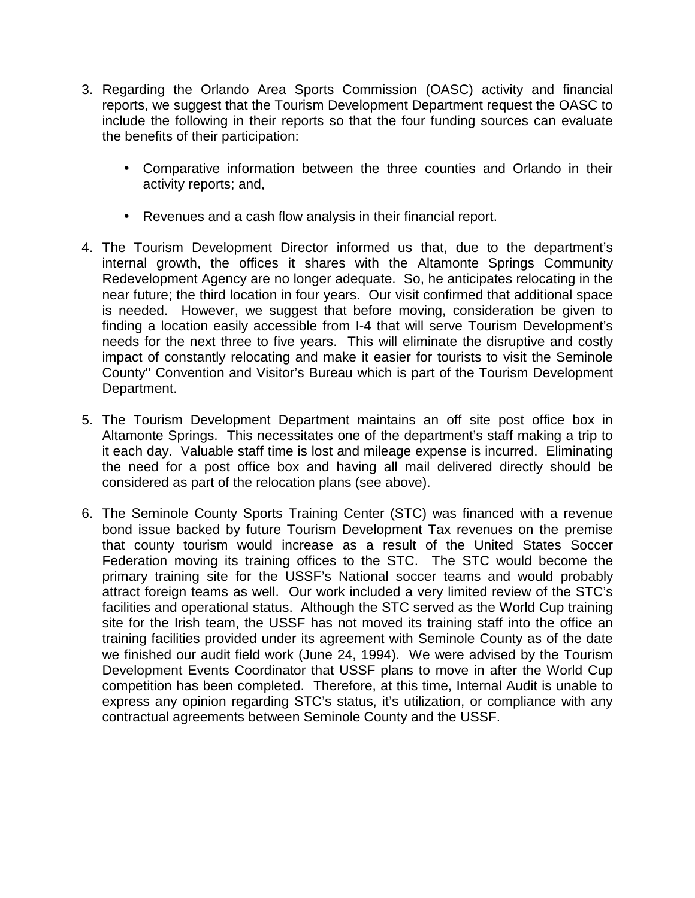- 3. Regarding the Orlando Area Sports Commission (OASC) activity and financial reports, we suggest that the Tourism Development Department request the OASC to include the following in their reports so that the four funding sources can evaluate the benefits of their participation:
	- Comparative information between the three counties and Orlando in their activity reports; and,
	- Revenues and a cash flow analysis in their financial report.
- 4. The Tourism Development Director informed us that, due to the department's internal growth, the offices it shares with the Altamonte Springs Community Redevelopment Agency are no longer adequate. So, he anticipates relocating in the near future; the third location in four years. Our visit confirmed that additional space is needed. However, we suggest that before moving, consideration be given to finding a location easily accessible from I-4 that will serve Tourism Development's needs for the next three to five years. This will eliminate the disruptive and costly impact of constantly relocating and make it easier for tourists to visit the Seminole County'' Convention and Visitor's Bureau which is part of the Tourism Development Department.
- 5. The Tourism Development Department maintains an off site post office box in Altamonte Springs. This necessitates one of the department's staff making a trip to it each day. Valuable staff time is lost and mileage expense is incurred. Eliminating the need for a post office box and having all mail delivered directly should be considered as part of the relocation plans (see above).
- 6. The Seminole County Sports Training Center (STC) was financed with a revenue bond issue backed by future Tourism Development Tax revenues on the premise that county tourism would increase as a result of the United States Soccer Federation moving its training offices to the STC. The STC would become the primary training site for the USSF's National soccer teams and would probably attract foreign teams as well. Our work included a very limited review of the STC's facilities and operational status. Although the STC served as the World Cup training site for the Irish team, the USSF has not moved its training staff into the office an training facilities provided under its agreement with Seminole County as of the date we finished our audit field work (June 24, 1994). We were advised by the Tourism Development Events Coordinator that USSF plans to move in after the World Cup competition has been completed. Therefore, at this time, Internal Audit is unable to express any opinion regarding STC's status, it's utilization, or compliance with any contractual agreements between Seminole County and the USSF.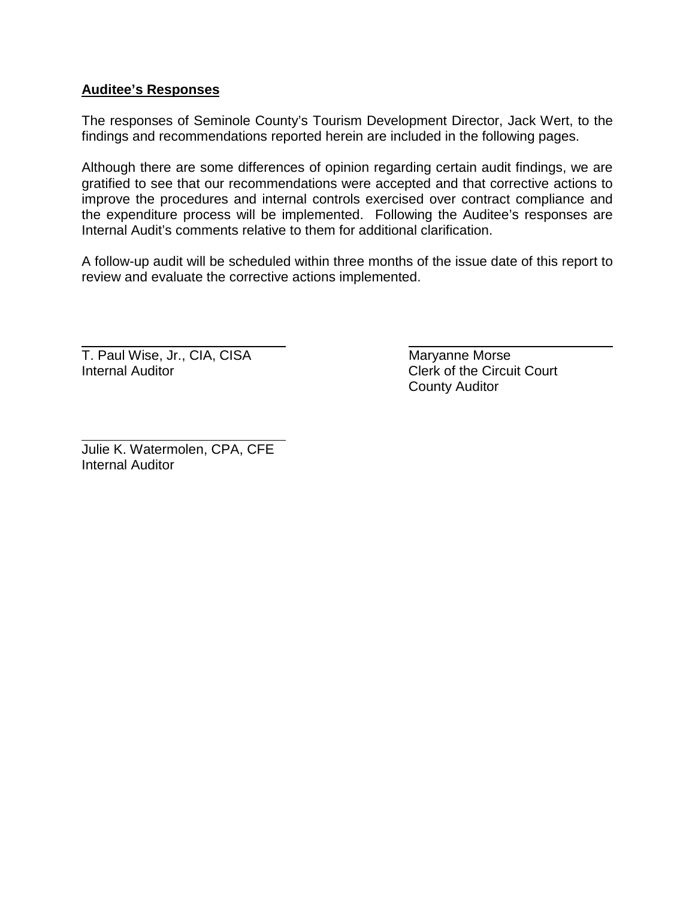# **Auditee's Responses**

The responses of Seminole County's Tourism Development Director, Jack Wert, to the findings and recommendations reported herein are included in the following pages.

Although there are some differences of opinion regarding certain audit findings, we are gratified to see that our recommendations were accepted and that corrective actions to improve the procedures and internal controls exercised over contract compliance and the expenditure process will be implemented. Following the Auditee's responses are Internal Audit's comments relative to them for additional clarification.

A follow-up audit will be scheduled within three months of the issue date of this report to review and evaluate the corrective actions implemented.

T. Paul Wise, Jr., CIA, CISA Maryanne Morse Internal Auditor **Clerk of the Circuit Court** 

 $\overline{a}$ 

 $\overline{a}$ 

County Auditor

Julie K. Watermolen, CPA, CFE Internal Auditor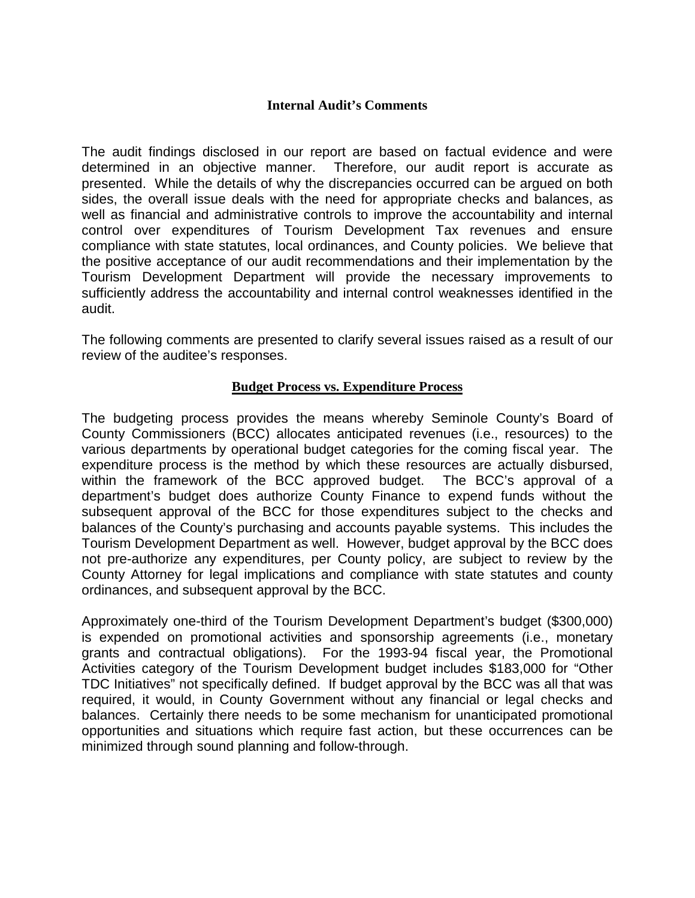#### **Internal Audit's Comments**

The audit findings disclosed in our report are based on factual evidence and were determined in an objective manner. Therefore, our audit report is accurate as presented. While the details of why the discrepancies occurred can be argued on both sides, the overall issue deals with the need for appropriate checks and balances, as well as financial and administrative controls to improve the accountability and internal control over expenditures of Tourism Development Tax revenues and ensure compliance with state statutes, local ordinances, and County policies. We believe that the positive acceptance of our audit recommendations and their implementation by the Tourism Development Department will provide the necessary improvements to sufficiently address the accountability and internal control weaknesses identified in the audit.

The following comments are presented to clarify several issues raised as a result of our review of the auditee's responses.

#### **Budget Process vs. Expenditure Process**

The budgeting process provides the means whereby Seminole County's Board of County Commissioners (BCC) allocates anticipated revenues (i.e., resources) to the various departments by operational budget categories for the coming fiscal year. The expenditure process is the method by which these resources are actually disbursed, within the framework of the BCC approved budget. The BCC's approval of a department's budget does authorize County Finance to expend funds without the subsequent approval of the BCC for those expenditures subject to the checks and balances of the County's purchasing and accounts payable systems. This includes the Tourism Development Department as well. However, budget approval by the BCC does not pre-authorize any expenditures, per County policy, are subject to review by the County Attorney for legal implications and compliance with state statutes and county ordinances, and subsequent approval by the BCC.

Approximately one-third of the Tourism Development Department's budget (\$300,000) is expended on promotional activities and sponsorship agreements (i.e., monetary grants and contractual obligations). For the 1993-94 fiscal year, the Promotional Activities category of the Tourism Development budget includes \$183,000 for "Other TDC Initiatives" not specifically defined. If budget approval by the BCC was all that was required, it would, in County Government without any financial or legal checks and balances. Certainly there needs to be some mechanism for unanticipated promotional opportunities and situations which require fast action, but these occurrences can be minimized through sound planning and follow-through.